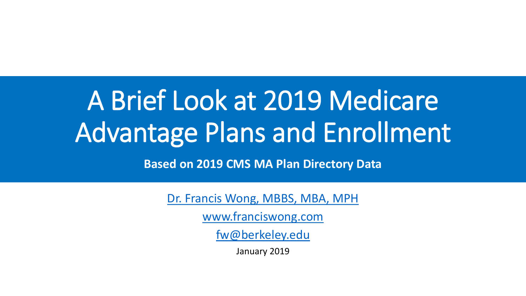## A Brief Look at 2019 Medicare Advantage Plans and Enrollment

**Based on 2019 CMS MA Plan Directory Data** 

[Dr. Francis Wong, MBBS, MBA, MPH](http://linkedin.com/in/loaded)

[www.franciswong.com](http://www.franciswong.com/)

[fw@berkeley.edu](mailto:fw@berkeley.edu)

January 2019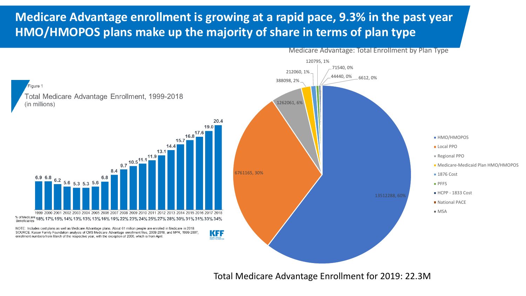## **Medicare Advantage enrollment is growing at a rapid pace, 9.3% in the past year HMO/HMOPOS plans make up the majority of share in terms of plan type**



Medicare Advantage: Total Enrollment by Plan Type

Total Medicare Advantage Enrollment for 2019: 22.3M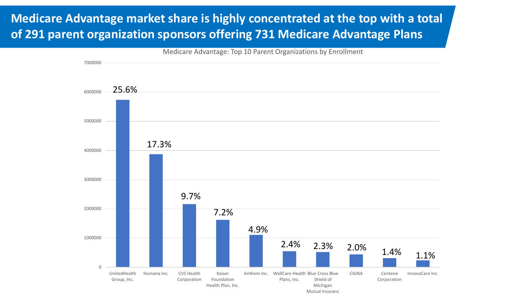## **Medicare Advantage market share is highly concentrated at the top with a total of 291 parent organization sponsors offering 731 Medicare Advantage Plans**